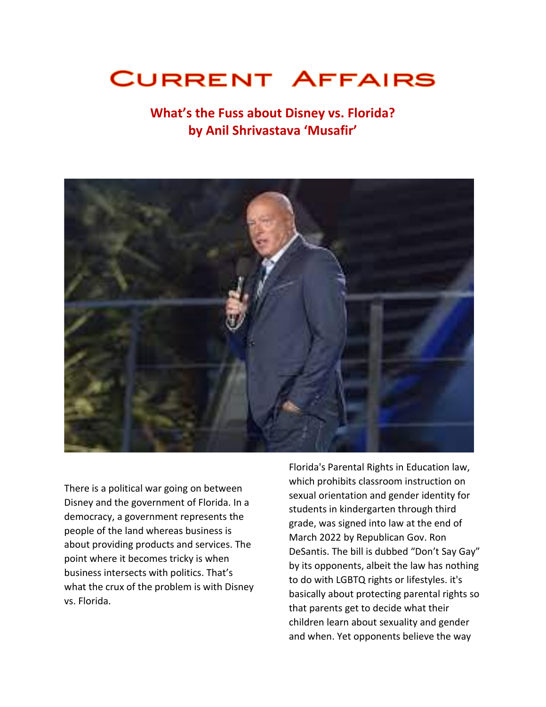## **CURRENT AFFAIRS**

## **What's the Fuss about Disney vs. Florida? by Anil Shrivastava 'Musafir'**



There is a political war going on between Disney and the government of Florida. In a democracy, a government represents the people of the land whereas business is about providing products and services. The point where it becomes tricky is when business intersects with politics. That's what the crux of the problem is with Disney vs. Florida.

Florida's Parental Rights in Education law, which prohibits classroom instruction on sexual orientation and gender identity for students in kindergarten through third grade, was signed into law at the end of March 2022 by Republican Gov. Ron DeSantis. The bill is dubbed "Don't Say Gay" by its opponents, albeit the law has nothing to do with LGBTQ rights or lifestyles. it's basically about protecting parental rights so that parents get to decide what their children learn about sexuality and gender and when. Yet opponents believe the way